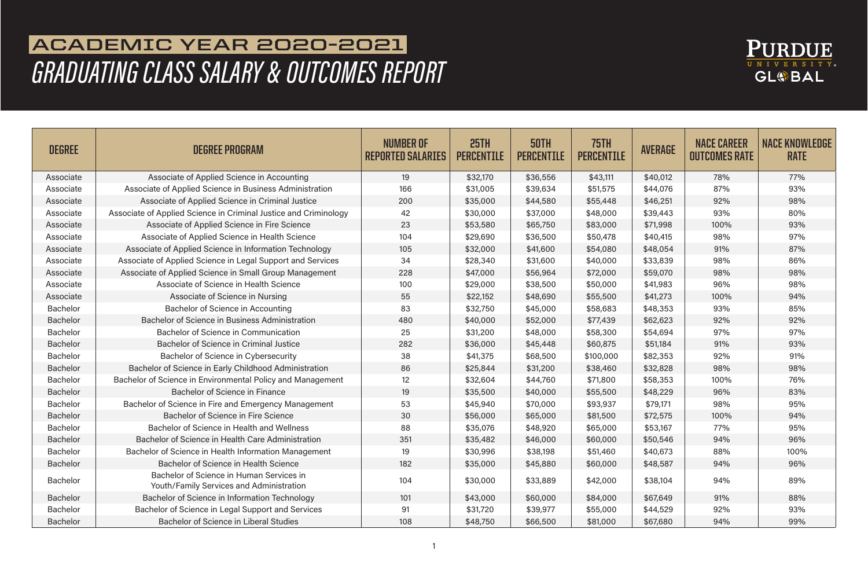

## **ACADEMIC YEAR 2020-2021**  *GRADUATING CLASS SALARY & OUTCOMES REPORT*

| <b>DEGREE</b>   | <b>DEGREE PROGRAM</b>                                                                | <b>NUMBER OF</b><br><b>REPORTED SALARIES</b> | 25TH<br><b>PERCENTILE</b> | 50TH<br><b>PERCENTILE</b> | <b>75TH</b><br><b>PERCENTILE</b> | <b>AVERAGE</b> | <b>NACE CAREER</b><br><b>OUTCOMES RATE</b> | <b>NACE KNOWLEDGE</b><br><b>RATE</b> |
|-----------------|--------------------------------------------------------------------------------------|----------------------------------------------|---------------------------|---------------------------|----------------------------------|----------------|--------------------------------------------|--------------------------------------|
| Associate       | Associate of Applied Science in Accounting                                           | 19                                           | \$32,170                  | \$36,556                  | \$43,111                         | \$40,012       | 78%                                        | 77%                                  |
| Associate       | Associate of Applied Science in Business Administration                              | 166                                          | \$31,005                  | \$39,634                  | \$51,575                         | \$44,076       | 87%                                        | 93%                                  |
| Associate       | Associate of Applied Science in Criminal Justice                                     | 200                                          | \$35,000                  | \$44,580                  | \$55,448                         | \$46,251       | 92%                                        | 98%                                  |
| Associate       | Associate of Applied Science in Criminal Justice and Criminology                     | 42                                           | \$30,000                  | \$37,000                  | \$48,000                         | \$39,443       | 93%                                        | 80%                                  |
| Associate       | Associate of Applied Science in Fire Science                                         | 23                                           | \$53,580                  | \$65,750                  | \$83,000                         | \$71,998       | 100%                                       | 93%                                  |
| Associate       | Associate of Applied Science in Health Science                                       | 104                                          | \$29,690                  | \$36,500                  | \$50,478                         | \$40,415       | 98%                                        | 97%                                  |
| Associate       | Associate of Applied Science in Information Technology                               | 105                                          | \$32,000                  | \$41,600                  | \$54,080                         | \$48,054       | 91%                                        | 87%                                  |
| Associate       | Associate of Applied Science in Legal Support and Services                           | 34                                           | \$28,340                  | \$31,600                  | \$40,000                         | \$33,839       | 98%                                        | 86%                                  |
| Associate       | Associate of Applied Science in Small Group Management                               | 228                                          | \$47,000                  | \$56,964                  | \$72,000                         | \$59,070       | 98%                                        | 98%                                  |
| Associate       | Associate of Science in Health Science                                               | 100                                          | \$29,000                  | \$38,500                  | \$50,000                         | \$41,983       | 96%                                        | 98%                                  |
| Associate       | Associate of Science in Nursing                                                      | 55                                           | \$22,152                  | \$48,690                  | \$55,500                         | \$41,273       | 100%                                       | 94%                                  |
| <b>Bachelor</b> | Bachelor of Science in Accounting                                                    | 83                                           | \$32,750                  | \$45,000                  | \$58,683                         | \$48,353       | 93%                                        | 85%                                  |
| <b>Bachelor</b> | Bachelor of Science in Business Administration                                       | 480                                          | \$40,000                  | \$52,000                  | \$77,439                         | \$62,623       | 92%                                        | 92%                                  |
| <b>Bachelor</b> | Bachelor of Science in Communication                                                 | 25                                           | \$31,200                  | \$48,000                  | \$58,300                         | \$54,694       | 97%                                        | 97%                                  |
| <b>Bachelor</b> | Bachelor of Science in Criminal Justice                                              | 282                                          | \$36,000                  | \$45,448                  | \$60,875                         | \$51,184       | 91%                                        | 93%                                  |
| <b>Bachelor</b> | Bachelor of Science in Cybersecurity                                                 | 38                                           | \$41,375                  | \$68,500                  | \$100,000                        | \$82,353       | 92%                                        | 91%                                  |
| <b>Bachelor</b> | Bachelor of Science in Early Childhood Administration                                | 86                                           | \$25,844                  | \$31,200                  | \$38,460                         | \$32,828       | 98%                                        | 98%                                  |
| <b>Bachelor</b> | Bachelor of Science in Environmental Policy and Management                           | 12                                           | \$32,604                  | \$44,760                  | \$71,800                         | \$58,353       | 100%                                       | 76%                                  |
| <b>Bachelor</b> | <b>Bachelor of Science in Finance</b>                                                | 19                                           | \$35,500                  | \$40,000                  | \$55,500                         | \$48,229       | 96%                                        | 83%                                  |
| <b>Bachelor</b> | Bachelor of Science in Fire and Emergency Management                                 | 53                                           | \$45,940                  | \$70,000                  | \$93,937                         | \$79,171       | 98%                                        | 95%                                  |
| <b>Bachelor</b> | Bachelor of Science in Fire Science                                                  | 30                                           | \$56,000                  | \$65,000                  | \$81,500                         | \$72,575       | 100%                                       | 94%                                  |
| <b>Bachelor</b> | Bachelor of Science in Health and Wellness                                           | 88                                           | \$35,076                  | \$48,920                  | \$65,000                         | \$53,167       | 77%                                        | 95%                                  |
| <b>Bachelor</b> | Bachelor of Science in Health Care Administration                                    | 351                                          | \$35,482                  | \$46,000                  | \$60,000                         | \$50,546       | 94%                                        | 96%                                  |
| <b>Bachelor</b> | Bachelor of Science in Health Information Management                                 | 19                                           | \$30,996                  | \$38,198                  | \$51,460                         | \$40,673       | 88%                                        | 100%                                 |
| <b>Bachelor</b> | Bachelor of Science in Health Science                                                | 182                                          | \$35,000                  | \$45,880                  | \$60,000                         | \$48,587       | 94%                                        | 96%                                  |
| <b>Bachelor</b> | Bachelor of Science in Human Services in<br>Youth/Family Services and Administration | 104                                          | \$30,000                  | \$33,889                  | \$42,000                         | \$38,104       | 94%                                        | 89%                                  |
| <b>Bachelor</b> | Bachelor of Science in Information Technology                                        | 101                                          | \$43,000                  | \$60,000                  | \$84,000                         | \$67,649       | 91%                                        | 88%                                  |
| <b>Bachelor</b> | Bachelor of Science in Legal Support and Services                                    | 91                                           | \$31,720                  | \$39,977                  | \$55,000                         | \$44,529       | 92%                                        | 93%                                  |
| <b>Bachelor</b> | <b>Bachelor of Science in Liberal Studies</b>                                        | 108                                          | \$48,750                  | \$66,500                  | \$81,000                         | \$67,680       | 94%                                        | 99%                                  |